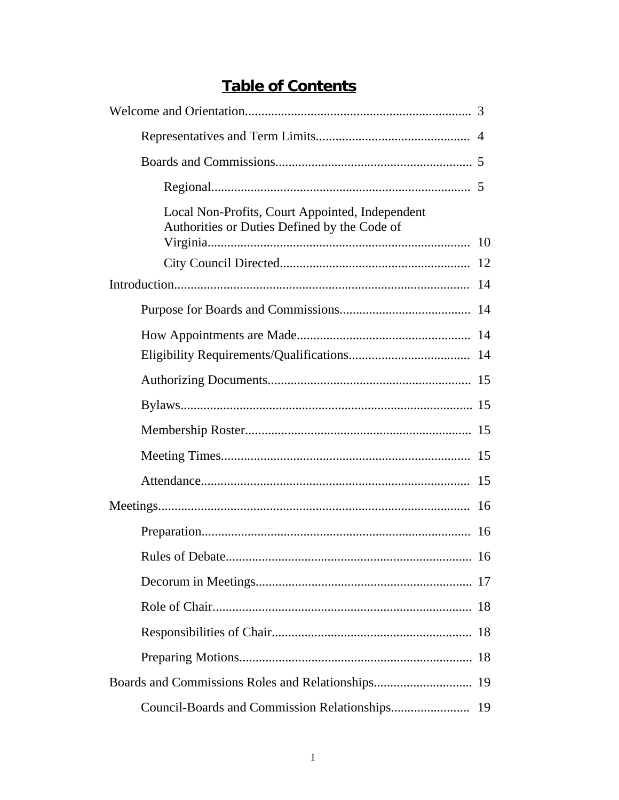## **Table of Contents**

| Local Non-Profits, Court Appointed, Independent<br>Authorities or Duties Defined by the Code of |    |  |  |  |
|-------------------------------------------------------------------------------------------------|----|--|--|--|
|                                                                                                 |    |  |  |  |
|                                                                                                 |    |  |  |  |
|                                                                                                 |    |  |  |  |
|                                                                                                 |    |  |  |  |
|                                                                                                 |    |  |  |  |
|                                                                                                 |    |  |  |  |
|                                                                                                 |    |  |  |  |
|                                                                                                 |    |  |  |  |
|                                                                                                 |    |  |  |  |
|                                                                                                 | 16 |  |  |  |
|                                                                                                 | 16 |  |  |  |
|                                                                                                 | 16 |  |  |  |
|                                                                                                 |    |  |  |  |
|                                                                                                 |    |  |  |  |
|                                                                                                 |    |  |  |  |
|                                                                                                 |    |  |  |  |
| 19                                                                                              |    |  |  |  |
|                                                                                                 | 19 |  |  |  |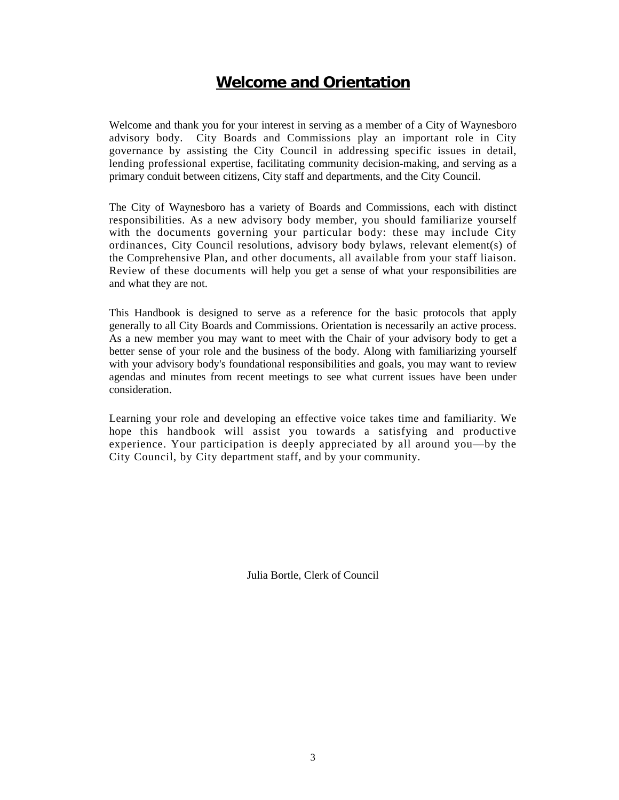## **Welcome and Orientation**

Welcome and thank you for your interest in serving as a member of a City of Waynesboro advisory body. City Boards and Commissions play an important role in City governance by assisting the City Council in addressing specific issues in detail, lending professional expertise, facilitating community decision-making, and serving as a primary conduit between citizens, City staff and departments, and the City Council.

The City of Waynesboro has a variety of Boards and Commissions, each with distinct responsibilities. As a new advisory body member, you should familiarize yourself with the documents governing your particular body: these may include City ordinances, City Council resolutions, advisory body bylaws, relevant element(s) of the Comprehensive Plan, and other documents, all available from your staff liaison. Review of these documents will help you get a sense of what your responsibilities are and what they are not.

This Handbook is designed to serve as a reference for the basic protocols that apply generally to all City Boards and Commissions. Orientation is necessarily an active process. As a new member you may want to meet with the Chair of your advisory body to get a better sense of your role and the business of the body. Along with familiarizing yourself with your advisory body's foundational responsibilities and goals, you may want to review agendas and minutes from recent meetings to see what current issues have been under consideration.

Learning your role and developing an effective voice takes time and familiarity. We hope this handbook will assist you towards a satisfying and productive experience. Your participation is deeply appreciated by all around you—by the City Council, by City department staff, and by your community.

Julia Bortle, Clerk of Council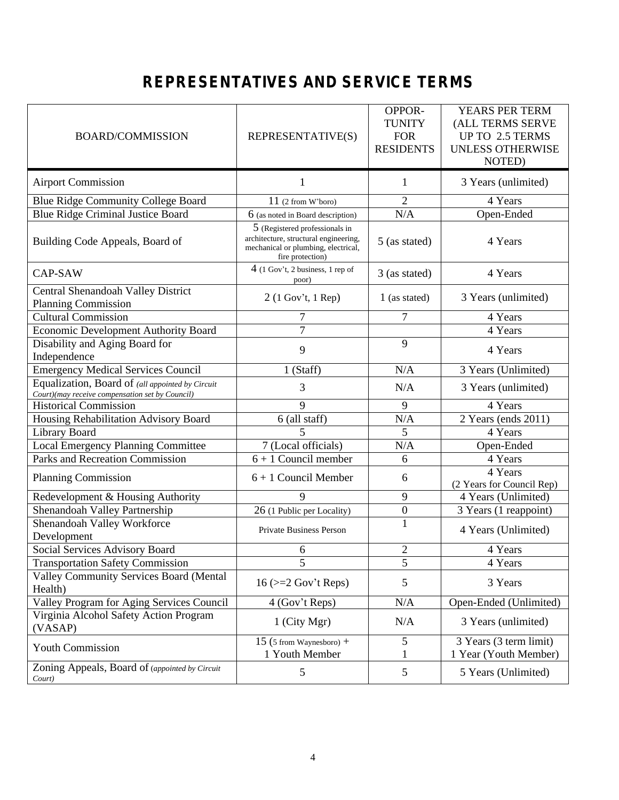# **REPRESENTATIVES AND SERVICE TERMS**

| <b>BOARD/COMMISSION</b>                                                                             | REPRESENTATIVE(S)                                                                                                                  | OPPOR-<br><b>TUNITY</b><br><b>FOR</b><br><b>RESIDENTS</b> | YEARS PER TERM<br>(ALL TERMS SERVE<br>UP TO 2.5 TERMS<br><b>UNLESS OTHERWISE</b><br>NOTED) |
|-----------------------------------------------------------------------------------------------------|------------------------------------------------------------------------------------------------------------------------------------|-----------------------------------------------------------|--------------------------------------------------------------------------------------------|
| <b>Airport Commission</b>                                                                           | 1                                                                                                                                  | 1                                                         | 3 Years (unlimited)                                                                        |
| <b>Blue Ridge Community College Board</b>                                                           | $11$ (2 from W'boro)                                                                                                               | $\overline{2}$                                            | 4 Years                                                                                    |
| <b>Blue Ridge Criminal Justice Board</b>                                                            | $6$ (as noted in Board description)                                                                                                | N/A                                                       | Open-Ended                                                                                 |
| Building Code Appeals, Board of                                                                     | 5 (Registered professionals in<br>architecture, structural engineering,<br>mechanical or plumbing, electrical,<br>fire protection) | 5 (as stated)                                             | 4 Years                                                                                    |
| CAP-SAW                                                                                             | $4$ (1 Gov't, 2 business, 1 rep of<br>poor)                                                                                        | 3 (as stated)                                             | 4 Years                                                                                    |
| Central Shenandoah Valley District                                                                  | $2(1 \text{ Gov't}, 1 \text{ Rep})$                                                                                                | 1 (as stated)                                             | 3 Years (unlimited)                                                                        |
| <b>Planning Commission</b>                                                                          |                                                                                                                                    |                                                           |                                                                                            |
| <b>Cultural Commission</b>                                                                          | 7                                                                                                                                  | 7                                                         | 4 Years                                                                                    |
| <b>Economic Development Authority Board</b>                                                         | $\overline{7}$                                                                                                                     |                                                           | 4 Years                                                                                    |
| Disability and Aging Board for                                                                      | 9                                                                                                                                  | 9                                                         | 4 Years                                                                                    |
| Independence                                                                                        |                                                                                                                                    |                                                           |                                                                                            |
| <b>Emergency Medical Services Council</b>                                                           | 1 (Staff)                                                                                                                          | N/A                                                       | 3 Years (Unlimited)                                                                        |
| Equalization, Board of (all appointed by Circuit<br>Court)(may receive compensation set by Council) | 3                                                                                                                                  | N/A                                                       | 3 Years (unlimited)                                                                        |
| <b>Historical Commission</b>                                                                        | 9                                                                                                                                  | 9                                                         | 4 Years                                                                                    |
| Housing Rehabilitation Advisory Board                                                               | 6 (all staff)                                                                                                                      | N/A                                                       | 2 Years (ends 2011)                                                                        |
| <b>Library Board</b>                                                                                | 5                                                                                                                                  | 5                                                         | 4 Years                                                                                    |
| <b>Local Emergency Planning Committee</b>                                                           | 7 (Local officials)                                                                                                                | N/A                                                       | Open-Ended                                                                                 |
| <b>Parks and Recreation Commission</b>                                                              | $6 + 1$ Council member                                                                                                             | 6                                                         | 4 Years                                                                                    |
| <b>Planning Commission</b>                                                                          | $6 + 1$ Council Member                                                                                                             | 6                                                         | 4 Years<br>(2 Years for Council Rep)                                                       |
| Redevelopment & Housing Authority                                                                   | 9                                                                                                                                  | 9                                                         | 4 Years (Unlimited)                                                                        |
| Shenandoah Valley Partnership                                                                       | 26 (1 Public per Locality)                                                                                                         | $\boldsymbol{0}$                                          | 3 Years (1 reappoint)                                                                      |
| Shenandoah Valley Workforce<br>Development                                                          | Private Business Person                                                                                                            | $\mathbf{1}$                                              | 4 Years (Unlimited)                                                                        |
| <b>Social Services Advisory Board</b>                                                               | 6                                                                                                                                  | $\overline{2}$                                            | 4 Years                                                                                    |
| <b>Transportation Safety Commission</b>                                                             | 5                                                                                                                                  | 5                                                         | 4 Years                                                                                    |
| <b>Valley Community Services Board (Mental</b>                                                      | $16$ ( $>=$ 2 Gov't Reps)                                                                                                          | 5                                                         | 3 Years                                                                                    |
| Health)<br>Valley Program for Aging Services Council                                                | 4 (Gov't Reps)                                                                                                                     | N/A                                                       | Open-Ended (Unlimited)                                                                     |
| Virginia Alcohol Safety Action Program                                                              |                                                                                                                                    |                                                           |                                                                                            |
| (VASAP)                                                                                             | 1 (City Mgr)                                                                                                                       | N/A                                                       | 3 Years (unlimited)                                                                        |
| <b>Youth Commission</b>                                                                             | 15 (5 from Waynesboro) +<br>1 Youth Member                                                                                         | 5<br>1                                                    | 3 Years (3 term limit)<br>1 Year (Youth Member)                                            |
| Zoning Appeals, Board of (appointed by Circuit<br>Court)                                            | 5                                                                                                                                  | $\mathfrak{S}$                                            | 5 Years (Unlimited)                                                                        |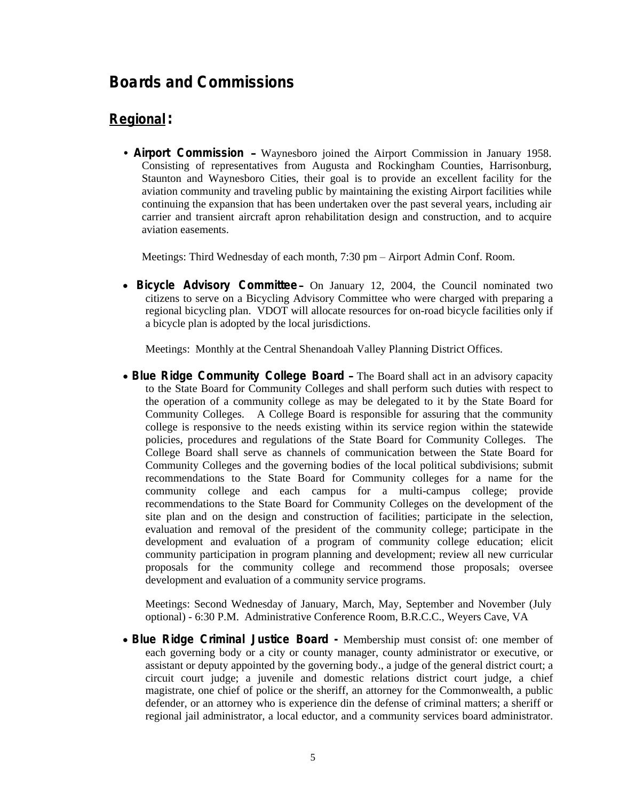## **Boards and Commissions**

## **Regional:**

• **Airport Commission** – Waynesboro joined the Airport Commission in January 1958. Consisting of representatives from Augusta and Rockingham Counties, Harrisonburg, Staunton and Waynesboro Cities, their goal is to provide an excellent facility for the aviation community and traveling public by maintaining the existing Airport facilities while continuing the expansion that has been undertaken over the past several years, including air carrier and transient aircraft apron rehabilitation design and construction, and to acquire aviation easements.

Meetings: Third Wednesday of each month, 7:30 pm – Airport Admin Conf. Room.

 **Bicycle Advisory Committee** – On January 12, 2004, the Council nominated two citizens to serve on a Bicycling Advisory Committee who were charged with preparing a regional bicycling plan. VDOT will allocate resources for on-road bicycle facilities only if a bicycle plan is adopted by the local jurisdictions.

Meetings: Monthly at the Central Shenandoah Valley Planning District Offices.

 **Blue Ridge Community College Board** – The Board shall act in an advisory capacity to the State Board for Community Colleges and shall perform such duties with respect to the operation of a community college as may be delegated to it by the State Board for Community Colleges. A College Board is responsible for assuring that the community college is responsive to the needs existing within its service region within the statewide policies, procedures and regulations of the State Board for Community Colleges. The College Board shall serve as channels of communication between the State Board for Community Colleges and the governing bodies of the local political subdivisions; submit recommendations to the State Board for Community colleges for a name for the community college and each campus for a multi-campus college; provide recommendations to the State Board for Community Colleges on the development of the site plan and on the design and construction of facilities; participate in the selection, evaluation and removal of the president of the community college; participate in the development and evaluation of a program of community college education; elicit community participation in program planning and development; review all new curricular proposals for the community college and recommend those proposals; oversee development and evaluation of a community service programs.

Meetings: Second Wednesday of January, March, May, September and November (July optional) - 6:30 P.M. Administrative Conference Room, B.R.C.C., Weyers Cave, VA

 **Blue Ridge Criminal Justice Board -** Membership must consist of: one member of each governing body or a city or county manager, county administrator or executive, or assistant or deputy appointed by the governing body., a judge of the general district court; a circuit court judge; a juvenile and domestic relations district court judge, a chief magistrate, one chief of police or the sheriff, an attorney for the Commonwealth, a public defender, or an attorney who is experience din the defense of criminal matters; a sheriff or regional jail administrator, a local eductor, and a community services board administrator.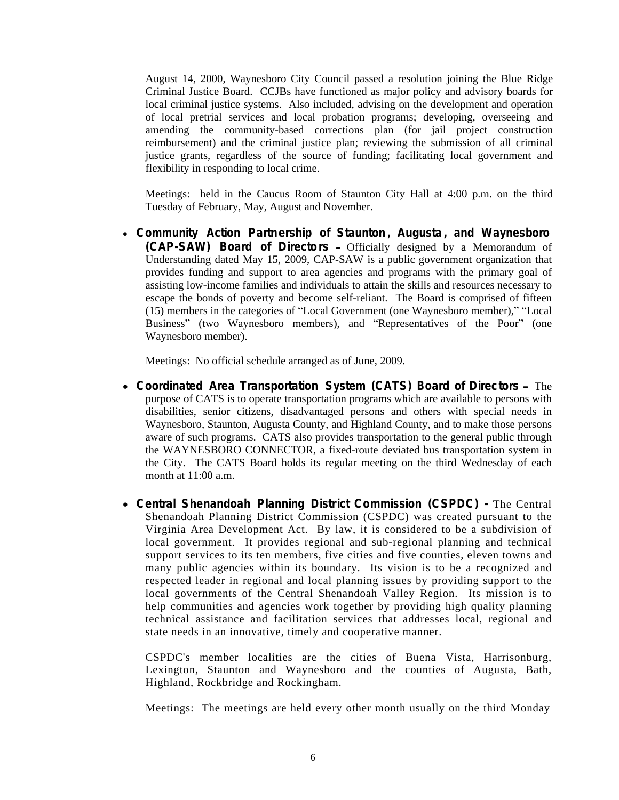August 14, 2000, Waynesboro City Council passed a resolution joining the Blue Ridge Criminal Justice Board. CCJBs have functioned as major policy and advisory boards for local criminal justice systems. Also included, advising on the development and operation of local pretrial services and local probation programs; developing, overseeing and amending the community-based corrections plan (for jail project construction reimbursement) and the criminal justice plan; reviewing the submission of all criminal justice grants, regardless of the source of funding; facilitating local government and flexibility in responding to local crime.

Meetings: held in the Caucus Room of Staunton City Hall at 4:00 p.m. on the third Tuesday of February, May, August and November.

 **Community Action Partnership of Staunton , Augusta, and Waynesboro (CAP-SAW) Board of Directors** – Officially designed by a Memorandum of Understanding dated May 15, 2009, CAP-SAW is a public government organization that provides funding and support to area agencies and programs with the primary goal of assisting low-income families and individuals to attain the skills and resources necessary to escape the bonds of poverty and become self-reliant. The Board is comprised of fifteen (15) members in the categories of "Local Government (one Waynesboro member)," "Local Business" (two Waynesboro members), and "Representatives of the Poor" (one Waynesboro member).

Meetings: No official schedule arranged as of June, 2009.

- **Coordinated Area Transportation System (CATS) Board of Directors** The purpose of CATS is to operate transportation programs which are available to persons with disabilities, senior citizens, disadvantaged persons and others with special needs in Waynesboro, Staunton, Augusta County, and Highland County, and to make those persons aware of such programs. CATS also provides transportation to the general public through the WAYNESBORO CONNECTOR, a fixed-route deviated bus transportation system in the City. The CATS Board holds its regular meeting on the third Wednesday of each month at 11:00 a.m.
- **Central Shenandoah Planning District Commission (CSPDC) -** The Central Shenandoah Planning District Commission (CSPDC) was created pursuant to the Virginia Area Development Act. By law, it is considered to be a subdivision of local government. It provides regional and sub-regional planning and technical support services to its ten members, five cities and five counties, eleven towns and many public agencies within its boundary. Its vision is to be a recognized and respected leader in regional and local planning issues by providing support to the local governments of the Central Shenandoah Valley Region. Its mission is to help communities and agencies work together by providing high quality planning technical assistance and facilitation services that addresses local, regional and state needs in an innovative, timely and cooperative manner.

CSPDC's member localities are the cities of Buena Vista, Harrisonburg, Lexington, Staunton and Waynesboro and the counties of Augusta, Bath, Highland, Rockbridge and Rockingham.

Meetings: The meetings are held every other month usually on the third Monday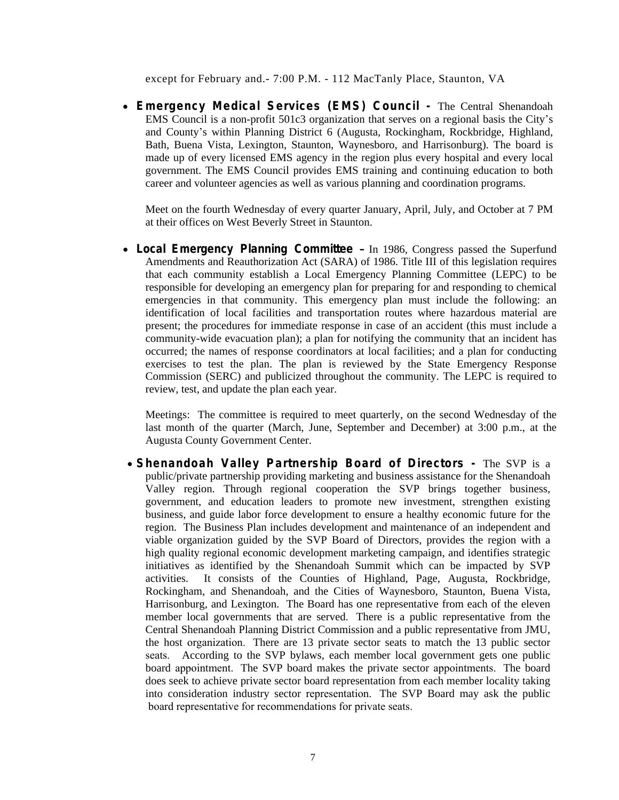except for February and.- 7:00 P.M. - 112 MacTanly Place, Staunton, VA

 **Emergency Medical Services (EMS) Council -** The Central Shenandoah EMS Council is a non-profit 501c3 organization that serves on a regional basis the City's and County's within Planning District 6 (Augusta, Rockingham, Rockbridge, Highland, Bath, Buena Vista, Lexington, Staunton, Waynesboro, and Harrisonburg). The board is made up of every licensed EMS agency in the region plus every hospital and every local government. The EMS Council provides EMS training and continuing education to both career and volunteer agencies as well as various planning and coordination programs.

Meet on the fourth Wednesday of every quarter January, April, July, and October at 7 PM at their offices on West Beverly Street in Staunton.

 **Local Emergency Planning Committee** – In 1986, Congress passed the Superfund Amendments and Reauthorization Act (SARA) of 1986. Title III of this legislation requires that each community establish a Local Emergency Planning Committee (LEPC) to be responsible for developing an emergency plan for preparing for and responding to chemical emergencies in that community. This emergency plan must include the following: an identification of local facilities and transportation routes where hazardous material are present; the procedures for immediate response in case of an accident (this must include a community-wide evacuation plan); a plan for notifying the community that an incident has occurred; the names of response coordinators at local facilities; and a plan for conducting exercises to test the plan. The plan is reviewed by the State Emergency Response Commission (SERC) and publicized throughout the community. The LEPC is required to review, test, and update the plan each year.

Meetings: The committee is required to meet quarterly, on the second Wednesday of the last month of the quarter (March, June, September and December) at 3:00 p.m., at the Augusta County Government Center.

 **Shenandoah Valley Partnership Board of Directors -** The SVP is a public/private partnership providing marketing and business assistance for the Shenandoah Valley region. Through regional cooperation the SVP brings together business, government, and education leaders to promote new investment, strengthen existing business, and guide labor force development to ensure a healthy economic future for the region. The Business Plan includes development and maintenance of an independent and viable organization guided by the SVP Board of Directors, provides the region with a high quality regional economic development marketing campaign, and identifies strategic initiatives as identified by the Shenandoah Summit which can be impacted by SVP activities. It consists of the Counties of Highland, Page, Augusta, Rockbridge, Rockingham, and Shenandoah, and the Cities of Waynesboro, Staunton, Buena Vista, Harrisonburg, and Lexington. The Board has one representative from each of the eleven member local governments that are served. There is a public representative from the Central Shenandoah Planning District Commission and a public representative from JMU, the host organization. There are 13 private sector seats to match the 13 public sector seats. According to the SVP bylaws, each member local government gets one public board appointment. The SVP board makes the private sector appointments. The board does seek to achieve private sector board representation from each member locality taking into consideration industry sector representation. The SVP Board may ask the public board representative for recommendations for private seats.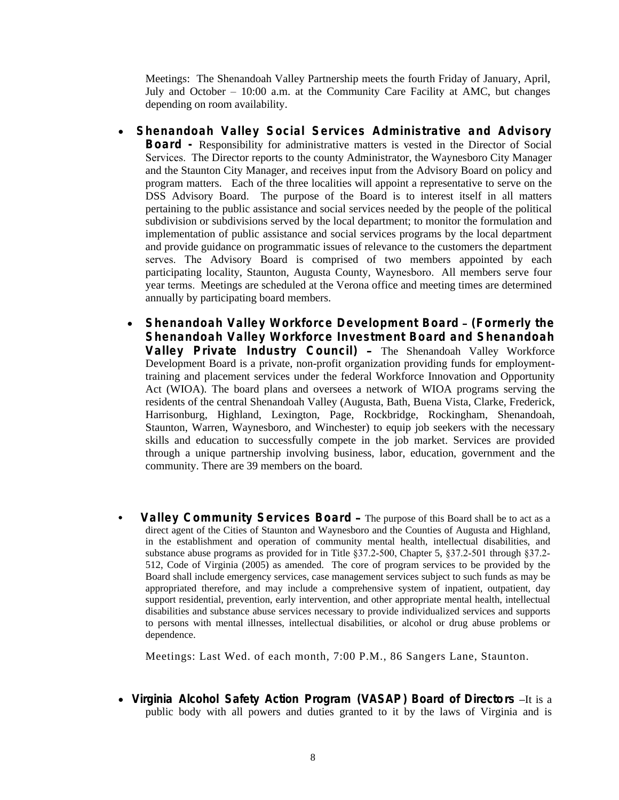Meetings: The Shenandoah Valley Partnership meets the fourth Friday of January, April, July and October – 10:00 a.m. at the Community Care Facility at AMC, but changes depending on room availability.

- **Shenandoah Valley Social Services Administrative and Advisory Board -** Responsibility for administrative matters is vested in the Director of Social Services. The Director reports to the county Administrator, the Waynesboro City Manager and the Staunton City Manager, and receives input from the Advisory Board on policy and program matters. Each of the three localities will appoint a representative to serve on the DSS Advisory Board. The purpose of the Board is to interest itself in all matters pertaining to the public assistance and social services needed by the people of the political subdivision or subdivisions served by the local department; to monitor the formulation and implementation of public assistance and social services programs by the local department and provide guidance on programmatic issues of relevance to the customers the department serves. The Advisory Board is comprised of two members appointed by each participating locality, Staunton, Augusta County, Waynesboro. All members serve four year terms. Meetings are scheduled at the Verona office and meeting times are determined annually by participating board members.
	- **Shenandoah Valley Workforce Development Board (Formerly the Shenandoah Valley Workforce Investment Board and Shenandoah Valley Private Industry Council)** – The Shenandoah Valley Workforce Development Board is a private, non-profit organization providing funds for employmenttraining and placement services under the federal Workforce Innovation and Opportunity Act (WIOA). The board plans and oversees a network of WIOA programs serving the residents of the central Shenandoah Valley (Augusta, Bath, Buena Vista, Clarke, Frederick, Harrisonburg, Highland, Lexington, Page, Rockbridge, Rockingham, Shenandoah, Staunton, Warren, Waynesboro, and Winchester) to equip job seekers with the necessary skills and education to successfully compete in the job market. Services are provided through a unique partnership involving business, labor, education, government and the community. There are 39 members on the board.
- **Valley Community Services Board** The purpose of this Board shall be to act as a direct agent of the Cities of Staunton and Waynesboro and the Counties of Augusta and Highland, in the establishment and operation of community mental health, intellectual disabilities, and substance abuse programs as provided for in Title §37.2-500, Chapter 5, §37.2-501 through §37.2- 512, Code of Virginia (2005) as amended. The core of program services to be provided by the Board shall include emergency services, case management services subject to such funds as may be appropriated therefore, and may include a comprehensive system of inpatient, outpatient, day support residential, prevention, early intervention, and other appropriate mental health, intellectual disabilities and substance abuse services necessary to provide individualized services and supports to persons with mental illnesses, intellectual disabilities, or alcohol or drug abuse problems or dependence.

Meetings: Last Wed. of each month, 7:00 P.M., 86 Sangers Lane, Staunton.

 **Virginia Alcohol Safety Action Program (VASAP) Board of Directors –**It is a public body with all powers and duties granted to it by the laws of Virginia and is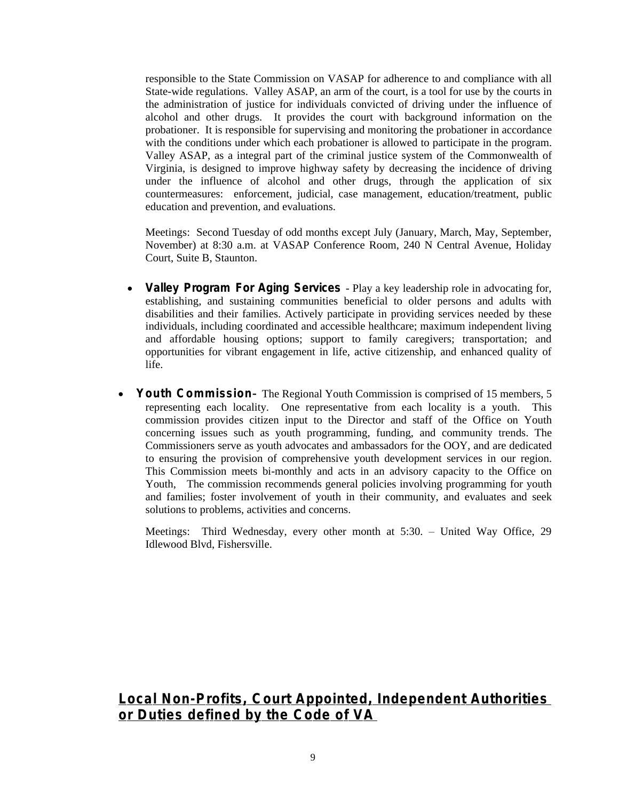responsible to the State Commission on VASAP for adherence to and compliance with all State-wide regulations. Valley ASAP, an arm of the court, is a tool for use by the courts in the administration of justice for individuals convicted of driving under the influence of alcohol and other drugs. It provides the court with background information on the probationer. It is responsible for supervising and monitoring the probationer in accordance with the conditions under which each probationer is allowed to participate in the program. Valley ASAP, as a integral part of the criminal justice system of the Commonwealth of Virginia, is designed to improve highway safety by decreasing the incidence of driving under the influence of alcohol and other drugs, through the application of six countermeasures: enforcement, judicial, case management, education/treatment, public education and prevention, and evaluations.

Meetings: Second Tuesday of odd months except July (January, March, May, September, November) at 8:30 a.m. at VASAP Conference Room, 240 N Central Avenue, Holiday Court, Suite B, Staunton.

- **Valley Program For Aging Services** Play a key leadership role in advocating for, establishing, and sustaining communities beneficial to older persons and adults with disabilities and their families. Actively participate in providing services needed by these individuals, including coordinated and accessible healthcare; maximum independent living and affordable housing options; support to family caregivers; transportation; and opportunities for vibrant engagement in life, active citizenship, and enhanced quality of life.
- **Youth Commission-** The Regional Youth Commission is comprised of 15 members, 5 representing each locality. One representative from each locality is a youth. This commission provides citizen input to the Director and staff of the Office on Youth concerning issues such as youth programming, funding, and community trends. The Commissioners serve as youth advocates and ambassadors for the OOY, and are dedicated to ensuring the provision of comprehensive youth development services in our region. This Commission meets bi-monthly and acts in an advisory capacity to the Office on Youth, The commission recommends general policies involving programming for youth and families; foster involvement of youth in their community, and evaluates and seek solutions to problems, activities and concerns.

Meetings: Third Wednesday, every other month at 5:30. – United Way Office, 29 Idlewood Blvd, Fishersville.

### **Local Non-Profits, Court Appointed, Independent Authorities or Duties defined by the Code of VA**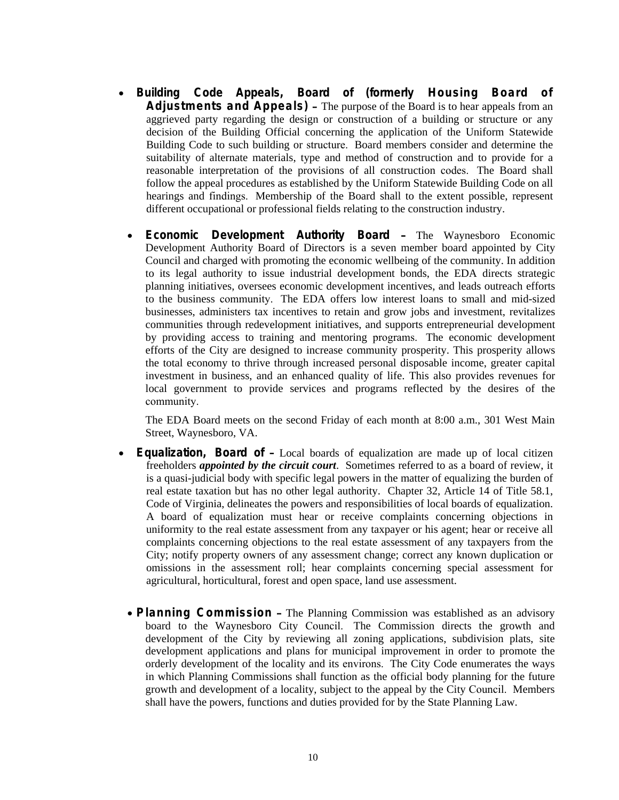- **Building Code Appeals, Board of (formerly Housing Board of Adjustments and Appeals)** – The purpose of the Board is to hear appeals from an aggrieved party regarding the design or construction of a building or structure or any decision of the Building Official concerning the application of the Uniform Statewide Building Code to such building or structure. Board members consider and determine the suitability of alternate materials, type and method of construction and to provide for a reasonable interpretation of the provisions of all construction codes. The Board shall follow the appeal procedures as established by the Uniform Statewide Building Code on all hearings and findings. Membership of the Board shall to the extent possible, represent different occupational or professional fields relating to the construction industry.
- **Economic Development Authority Board** The Waynesboro Economic Development Authority Board of Directors is a seven member board appointed by City Council and charged with promoting the economic wellbeing of the community. In addition to its legal authority to issue industrial development bonds, the EDA directs strategic planning initiatives, oversees economic development incentives, and leads outreach efforts to the business community. The EDA offers low interest loans to small and mid-sized businesses, administers tax incentives to retain and grow jobs and investment, revitalizes communities through redevelopment initiatives, and supports entrepreneurial development by providing access to training and mentoring programs. The economic development efforts of the City are designed to increase community prosperity. This prosperity allows the total economy to thrive through increased personal disposable income, greater capital investment in business, and an enhanced quality of life. This also provides revenues for local government to provide services and programs reflected by the desires of the community.

The EDA Board meets on the second Friday of each month at 8:00 a.m., 301 West Main Street, Waynesboro, VA.

- **Equalization, Board of** Local boards of equalization are made up of local citizen freeholders *appointed by the circuit court*. Sometimes referred to as a board of review, it is a quasi-judicial body with specific legal powers in the matter of equalizing the burden of real estate taxation but has no other legal authority. Chapter 32, Article 14 of Title 58.1, Code of Virginia, delineates the powers and responsibilities of local boards of equalization. A board of equalization must hear or receive complaints concerning objections in uniformity to the real estate assessment from any taxpayer or his agent; hear or receive all complaints concerning objections to the real estate assessment of any taxpayers from the City; notify property owners of any assessment change; correct any known duplication or omissions in the assessment roll; hear complaints concerning special assessment for agricultural, horticultural, forest and open space, land use assessment.
	- **Planning Commission** The Planning Commission was established as an advisory board to the Waynesboro City Council. The Commission directs the growth and development of the City by reviewing all zoning applications, subdivision plats, site development applications and plans for municipal improvement in order to promote the orderly development of the locality and its environs. The City Code enumerates the ways in which Planning Commissions shall function as the official body planning for the future growth and development of a locality, subject to the appeal by the City Council. Members shall have the powers, functions and duties provided for by the State Planning Law.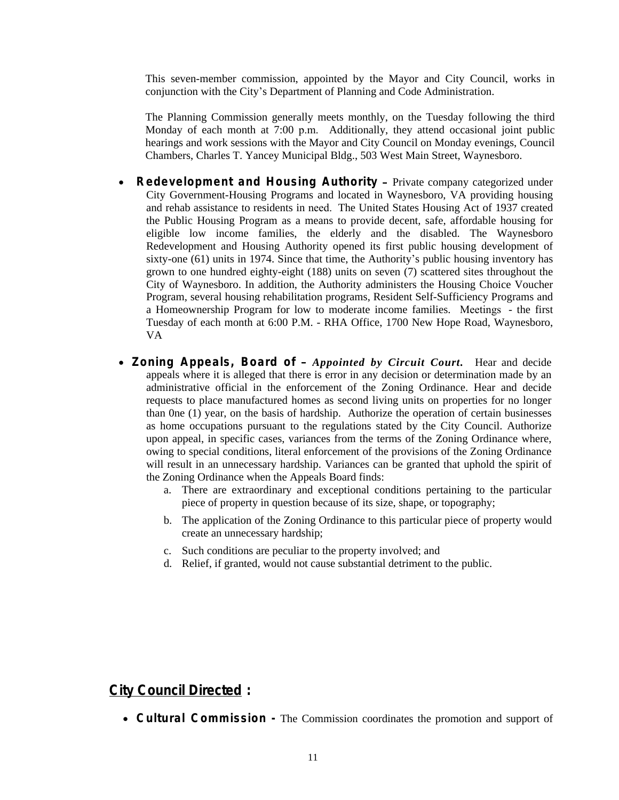This seven-member commission, appointed by the Mayor and City Council, works in conjunction with the City's Department of Planning and Code Administration.

The Planning Commission generally meets monthly, on the Tuesday following the third Monday of each month at 7:00 p.m. Additionally, they attend occasional joint public hearings and work sessions with the Mayor and City Council on Monday evenings, Council Chambers, Charles T. Yancey Municipal Bldg., 503 West Main Street, Waynesboro.

- **Redevelopment and Housing Authority** Private company categorized under City Government-Housing Programs and located in Waynesboro, VA providing housing and rehab assistance to residents in need. The United States Housing Act of 1937 created the Public Housing Program as a means to provide decent, safe, affordable housing for eligible low income families, the elderly and the disabled. The Waynesboro Redevelopment and Housing Authority opened its first public housing development of sixty-one (61) units in 1974. Since that time, the Authority's public housing inventory has grown to one hundred eighty-eight (188) units on seven (7) scattered sites throughout the City of Waynesboro. In addition, the Authority administers the Housing Choice Voucher Program, several housing rehabilitation programs, Resident Self-Sufficiency Programs and a Homeownership Program for low to moderate income families. Meetings - the first Tuesday of each month at 6:00 P.M. - RHA Office, 1700 New Hope Road, Waynesboro, VA
- **Zoning Appeals, Board of** *Appointed by Circuit Court.* Hear and decide appeals where it is alleged that there is error in any decision or determination made by an administrative official in the enforcement of the Zoning Ordinance. Hear and decide requests to place manufactured homes as second living units on properties for no longer than 0ne (1) year, on the basis of hardship. Authorize the operation of certain businesses as home occupations pursuant to the regulations stated by the City Council. Authorize upon appeal, in specific cases, variances from the terms of the Zoning Ordinance where, owing to special conditions, literal enforcement of the provisions of the Zoning Ordinance will result in an unnecessary hardship. Variances can be granted that uphold the spirit of the Zoning Ordinance when the Appeals Board finds:
	- a. There are extraordinary and exceptional conditions pertaining to the particular piece of property in question because of its size, shape, or topography;
	- b. The application of the Zoning Ordinance to this particular piece of property would create an unnecessary hardship;
	- c. Such conditions are peculiar to the property involved; and
	- d. Relief, if granted, would not cause substantial detriment to the public.

#### **City Council Directed :**

**Cultural Commission -** The Commission coordinates the promotion and support of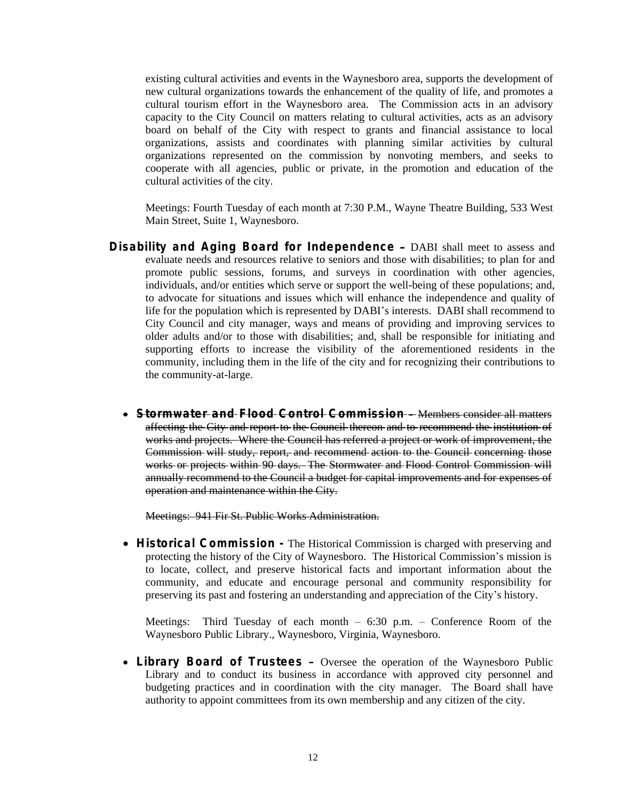existing cultural activities and events in the Waynesboro area, supports the development of new cultural organizations towards the enhancement of the quality of life, and promotes a cultural tourism effort in the Waynesboro area. The Commission acts in an advisory capacity to the City Council on matters relating to cultural activities, acts as an advisory board on behalf of the City with respect to grants and financial assistance to local organizations, assists and coordinates with planning similar activities by cultural organizations represented on the commission by nonvoting members, and seeks to cooperate with all agencies, public or private, in the promotion and education of the cultural activities of the city.

Meetings: Fourth Tuesday of each month at 7:30 P.M., Wayne Theatre Building, 533 West Main Street, Suite 1, Waynesboro.

- **Disability and Aging Board for Independence** DABI shall meet to assess and evaluate needs and resources relative to seniors and those with disabilities; to plan for and promote public sessions, forums, and surveys in coordination with other agencies, individuals, and/or entities which serve or support the well-being of these populations; and, to advocate for situations and issues which will enhance the independence and quality of life for the population which is represented by DABI's interests. DABI shall recommend to City Council and city manager, ways and means of providing and improving services to older adults and/or to those with disabilities; and, shall be responsible for initiating and supporting efforts to increase the visibility of the aforementioned residents in the community, including them in the life of the city and for recognizing their contributions to the community-at-large.
	- **Stormwater and Flood Control Commission** Members consider all matters affecting the City and report to the Council thereon and to recommend the institution of works and projects. Where the Council has referred a project or work of improvement, the Commission will study, report, and recommend action to the Council concerning those works or projects within 90 days. The Stormwater and Flood Control Commission will annually recommend to the Council a budget for capital improvements and for expenses of operation and maintenance within the City.

Meetings: 941 Fir St. Public Works Administration.

 **Historical Commission -** The Historical Commission is charged with preserving and protecting the history of the City of Waynesboro. The Historical Commission's mission is to locate, collect, and preserve historical facts and important information about the community, and educate and encourage personal and community responsibility for preserving its past and fostering an understanding and appreciation of the City's history.

Meetings: Third Tuesday of each month  $-6:30$  p.m.  $-$  Conference Room of the Waynesboro Public Library., Waynesboro, Virginia, Waynesboro.

 **Library Board of Trustees** – Oversee the operation of the Waynesboro Public Library and to conduct its business in accordance with approved city personnel and budgeting practices and in coordination with the city manager. The Board shall have authority to appoint committees from its own membership and any citizen of the city.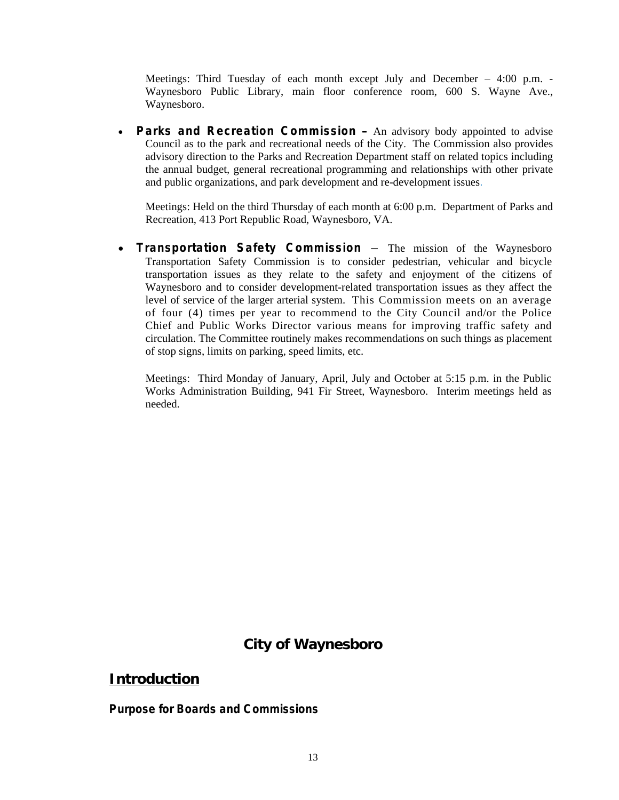Meetings: Third Tuesday of each month except July and December – 4:00 p.m. - Waynesboro Public Library, main floor conference room, 600 S. Wayne Ave., Waynesboro.

 **Parks and Recreation Commission** – An advisory body appointed to advise Council as to the park and recreational needs of the City. The Commission also provides advisory direction to the Parks and Recreation Department staff on related topics including the annual budget, general recreational programming and relationships with other private and public organizations, and park development and re-development issues.

Meetings: Held on the third Thursday of each month at 6:00 p.m. Department of Parks and Recreation, 413 Port Republic Road, Waynesboro, VA.

 **Transportation Safety Commission –** The mission of the Waynesboro Transportation Safety Commission is to consider pedestrian, vehicular and bicycle transportation issues as they relate to the safety and enjoyment of the citizens of Waynesboro and to consider development-related transportation issues as they affect the level of service of the larger arterial system. This Commission meets on an average of four (4) times per year to recommend to the City Council and/or the Police Chief and Public Works Director various means for improving traffic safety and circulation. The Committee routinely makes recommendations on such things as placement of stop signs, limits on parking, speed limits, etc.

Meetings: Third Monday of January, April, July and October at 5:15 p.m. in the Public Works Administration Building, 941 Fir Street, Waynesboro. Interim meetings held as needed.

### **City of Waynesboro**

#### **Introduction**

**Purpose for Boards and Commissions**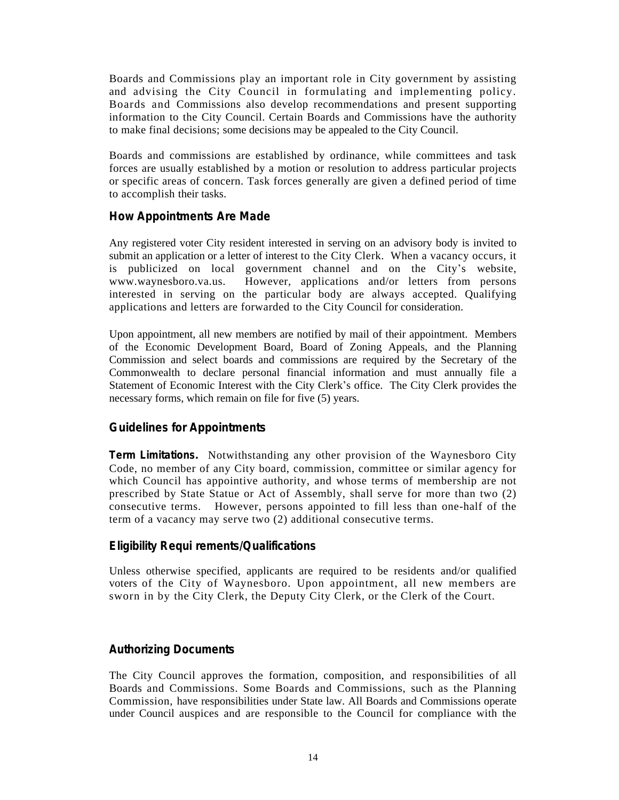Boards and Commissions play an important role in City government by assisting and advising the City Council in formulating and implementing policy. Boards and Commissions also develop recommendations and present supporting information to the City Council. Certain Boards and Commissions have the authority to make final decisions; some decisions may be appealed to the City Council.

Boards and commissions are established by ordinance, while committees and task forces are usually established by a motion or resolution to address particular projects or specific areas of concern. Task forces generally are given a defined period of time to accomplish their tasks.

#### **How Appointments Are Made**

Any registered voter City resident interested in serving on an advisory body is invited to submit an application or a letter of interest to the City Clerk. When a vacancy occurs, it is publicized on local government channel and on the City's website, www.waynesboro.va.us. However, applications and/or letters from persons interested in serving on the particular body are always accepted. Qualifying applications and letters are forwarded to the City Council for consideration.

Upon appointment, all new members are notified by mail of their appointment. Members of the Economic Development Board, Board of Zoning Appeals, and the Planning Commission and select boards and commissions are required by the Secretary of the Commonwealth to declare personal financial information and must annually file a Statement of Economic Interest with the City Clerk's office. The City Clerk provides the necessary forms, which remain on file for five (5) years.

#### **Guidelines for Appointments**

**Term Limitations.** Notwithstanding any other provision of the Waynesboro City Code, no member of any City board, commission, committee or similar agency for which Council has appointive authority, and whose terms of membership are not prescribed by State Statue or Act of Assembly, shall serve for more than two (2) consecutive terms. However, persons appointed to fill less than one-half of the term of a vacancy may serve two (2) additional consecutive terms.

#### **Eligibility Requi rements/Qualifications**

Unless otherwise specified, applicants are required to be residents and/or qualified voters of the City of Waynesboro. Upon appointment, all new members are sworn in by the City Clerk, the Deputy City Clerk, or the Clerk of the Court.

#### **Authorizing Documents**

The City Council approves the formation, composition, and responsibilities of all Boards and Commissions. Some Boards and Commissions, such as the Planning Commission, have responsibilities under State law. All Boards and Commissions operate under Council auspices and are responsible to the Council for compliance with the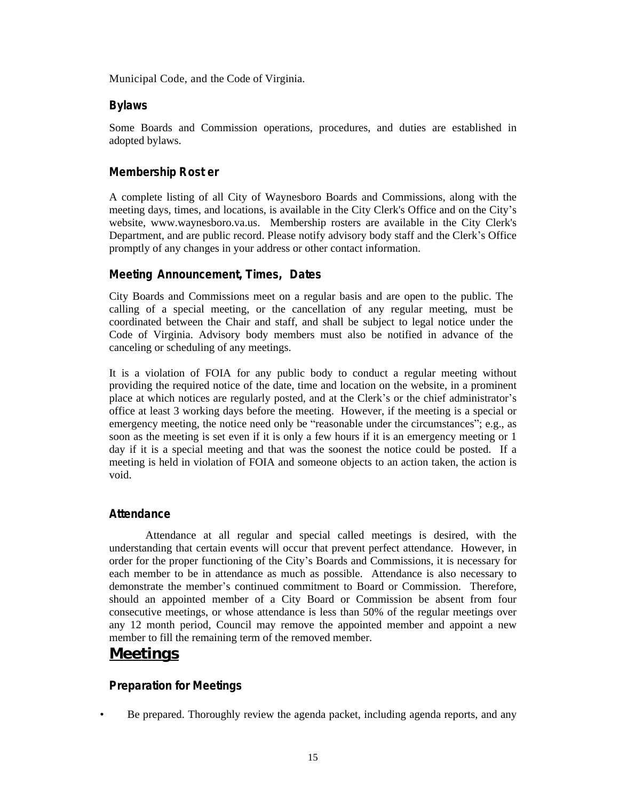Municipal Code, and the Code of Virginia.

#### **Bylaws**

Some Boards and Commission operations, procedures, and duties are established in adopted bylaws.

#### **Membership Rost er**

A complete listing of all City of Waynesboro Boards and Commissions, along with the meeting days, times, and locations, is available in the City Clerk's Office and on the City's website, www.waynesboro.va.us. Membership rosters are available in the City Clerk's Department, and are public record. Please notify advisory body staff and the Clerk's Office promptly of any changes in your address or other contact information.

#### **Meeting Announcement, Times, Dates**

City Boards and Commissions meet on a regular basis and are open to the public. The calling of a special meeting, or the cancellation of any regular meeting, must be coordinated between the Chair and staff, and shall be subject to legal notice under the Code of Virginia. Advisory body members must also be notified in advance of the canceling or scheduling of any meetings.

It is a violation of FOIA for any public body to conduct a regular meeting without providing the required notice of the date, time and location on the website, in a prominent place at which notices are regularly posted, and at the Clerk's or the chief administrator's office at least 3 working days before the meeting. However, if the meeting is a special or emergency meeting, the notice need only be "reasonable under the circumstances"; e.g., as soon as the meeting is set even if it is only a few hours if it is an emergency meeting or 1 day if it is a special meeting and that was the soonest the notice could be posted. If a meeting is held in violation of FOIA and someone objects to an action taken, the action is void.

#### **Attendance**

Attendance at all regular and special called meetings is desired, with the understanding that certain events will occur that prevent perfect attendance. However, in order for the proper functioning of the City's Boards and Commissions, it is necessary for each member to be in attendance as much as possible. Attendance is also necessary to demonstrate the member's continued commitment to Board or Commission. Therefore, should an appointed member of a City Board or Commission be absent from four consecutive meetings, or whose attendance is less than 50% of the regular meetings over any 12 month period, Council may remove the appointed member and appoint a new member to fill the remaining term of the removed member.

## **Meetings**

#### **Preparation for Meetings**

• Be prepared. Thoroughly review the agenda packet, including agenda reports, and any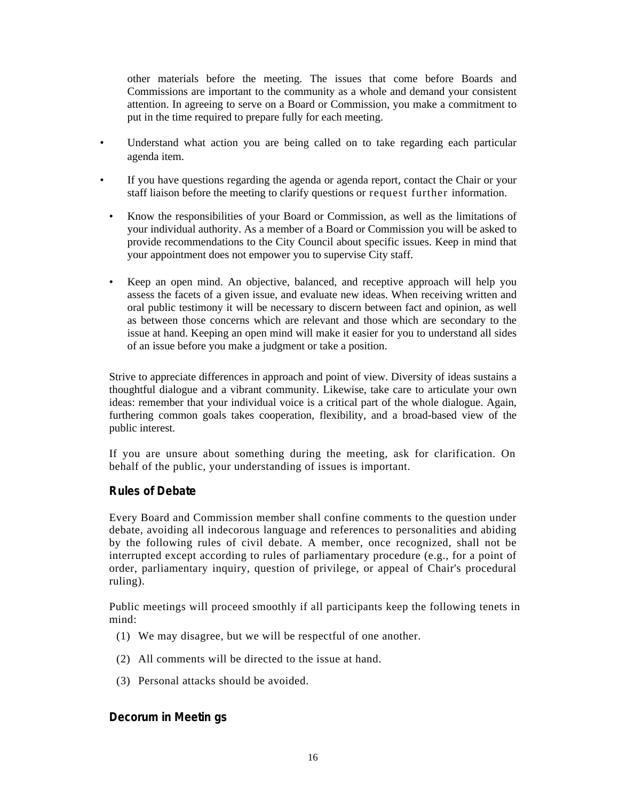other materials before the meeting. The issues that come before Boards and Commissions are important to the community as a whole and demand your consistent attention. In agreeing to serve on a Board or Commission, you make a commitment to put in the time required to prepare fully for each meeting.

- Understand what action you are being called on to take regarding each particular agenda item.
- If you have questions regarding the agenda or agenda report, contact the Chair or your staff liaison before the meeting to clarify questions or request further information.
	- Know the responsibilities of your Board or Commission, as well as the limitations of your individual authority. As a member of a Board or Commission you will be asked to provide recommendations to the City Council about specific issues. Keep in mind that your appointment does not empower you to supervise City staff.
	- Keep an open mind. An objective, balanced, and receptive approach will help you assess the facets of a given issue, and evaluate new ideas. When receiving written and oral public testimony it will be necessary to discern between fact and opinion, as well as between those concerns which are relevant and those which are secondary to the issue at hand. Keeping an open mind will make it easier for you to understand all sides of an issue before you make a judgment or take a position.

Strive to appreciate differences in approach and point of view. Diversity of ideas sustains a thoughtful dialogue and a vibrant community. Likewise, take care to articulate your own ideas: remember that your individual voice is a critical part of the whole dialogue. Again, furthering common goals takes cooperation, flexibility, and a broad-based view of the public interest.

If you are unsure about something during the meeting, ask for clarification. On behalf of the public, your understanding of issues is important.

#### **Rules of Debate**

Every Board and Commission member shall confine comments to the question under debate, avoiding all indecorous language and references to personalities and abiding by the following rules of civil debate. A member, once recognized, shall not be interrupted except according to rules of parliamentary procedure (e.g., for a point of order, parliamentary inquiry, question of privilege, or appeal of Chair's procedural ruling).

Public meetings will proceed smoothly if all participants keep the following tenets in mind:

- (1) We may disagree, but we will be respectful of one another.
- (2) All comments will be directed to the issue at hand.
- (3) Personal attacks should be avoided.

#### **Decorum in Meetin gs**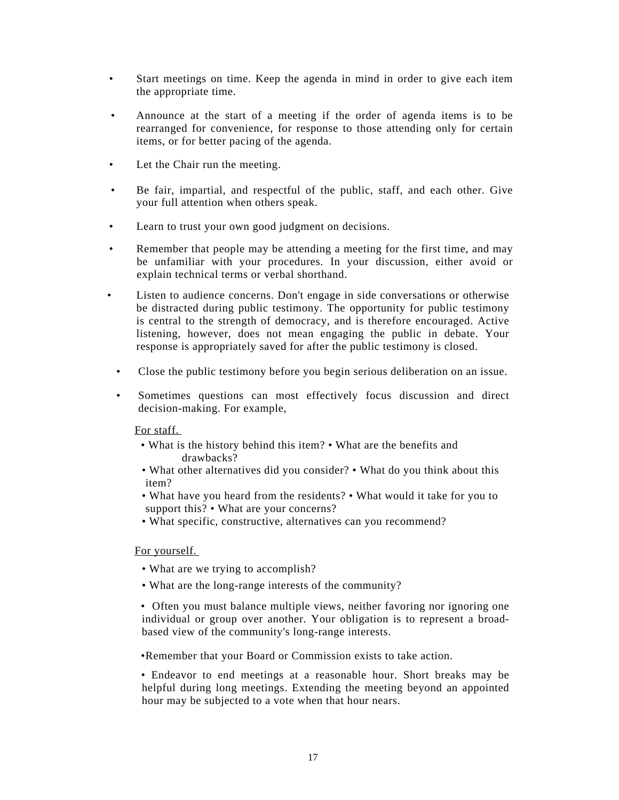- Start meetings on time. Keep the agenda in mind in order to give each item the appropriate time.
- Announce at the start of a meeting if the order of agenda items is to be rearranged for convenience, for response to those attending only for certain items, or for better pacing of the agenda.
- Let the Chair run the meeting.
- Be fair, impartial, and respectful of the public, staff, and each other. Give your full attention when others speak.
- Learn to trust your own good judgment on decisions.
- Remember that people may be attending a meeting for the first time, and may be unfamiliar with your procedures. In your discussion, either avoid or explain technical terms or verbal shorthand.
- Listen to audience concerns. Don't engage in side conversations or otherwise be distracted during public testimony. The opportunity for public testimony is central to the strength of democracy, and is therefore encouraged. Active listening, however, does not mean engaging the public in debate. Your response is appropriately saved for after the public testimony is closed.
	- Close the public testimony before you begin serious deliberation on an issue.
	- Sometimes questions can most effectively focus discussion and direct decision-making. For example,

For staff.

- What is the history behind this item? What are the benefits and drawbacks?
- What other alternatives did you consider? What do you think about this item?
- What have you heard from the residents? What would it take for you to support this? • What are your concerns?
- What specific, constructive, alternatives can you recommend?

For yourself.

- What are we trying to accomplish?
- What are the long-range interests of the community?

• Often you must balance multiple views, neither favoring nor ignoring one individual or group over another. Your obligation is to represent a broadbased view of the community's long-range interests.

•Remember that your Board or Commission exists to take action.

• Endeavor to end meetings at a reasonable hour. Short breaks may be helpful during long meetings. Extending the meeting beyond an appointed hour may be subjected to a vote when that hour nears.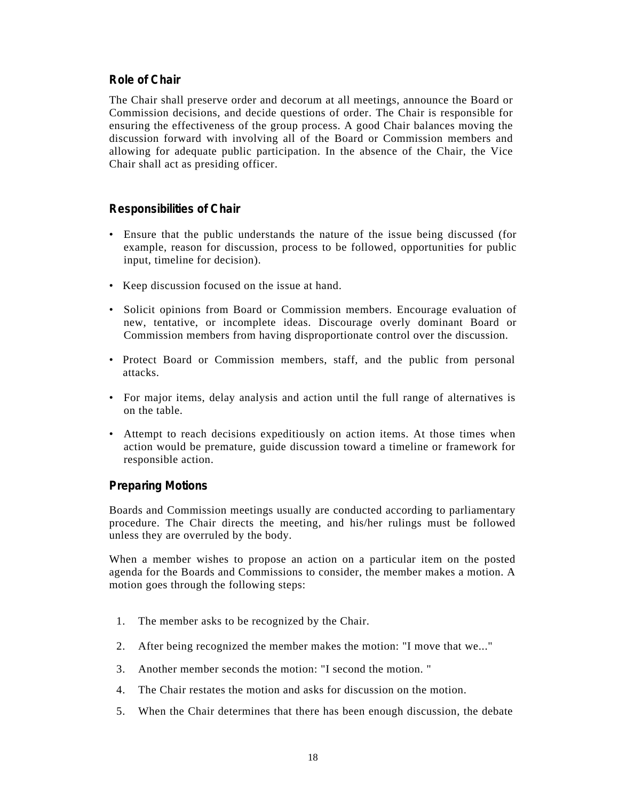#### **Role of Chair**

The Chair shall preserve order and decorum at all meetings, announce the Board or Commission decisions, and decide questions of order. The Chair is responsible for ensuring the effectiveness of the group process. A good Chair balances moving the discussion forward with involving all of the Board or Commission members and allowing for adequate public participation. In the absence of the Chair, the Vice Chair shall act as presiding officer.

#### **Responsibilities of Chair**

- Ensure that the public understands the nature of the issue being discussed (for example, reason for discussion, process to be followed, opportunities for public input, timeline for decision).
- Keep discussion focused on the issue at hand.
- Solicit opinions from Board or Commission members. Encourage evaluation of new, tentative, or incomplete ideas. Discourage overly dominant Board or Commission members from having disproportionate control over the discussion.
- Protect Board or Commission members, staff, and the public from personal attacks.
- For major items, delay analysis and action until the full range of alternatives is on the table.
- Attempt to reach decisions expeditiously on action items. At those times when action would be premature, guide discussion toward a timeline or framework for responsible action.

#### **Preparing Motions**

Boards and Commission meetings usually are conducted according to parliamentary procedure. The Chair directs the meeting, and his/her rulings must be followed unless they are overruled by the body.

When a member wishes to propose an action on a particular item on the posted agenda for the Boards and Commissions to consider, the member makes a motion. A motion goes through the following steps:

- 1. The member asks to be recognized by the Chair.
- 2. After being recognized the member makes the motion: "I move that we..."
- 3. Another member seconds the motion: "I second the motion. "
- 4. The Chair restates the motion and asks for discussion on the motion.
- 5. When the Chair determines that there has been enough discussion, the debate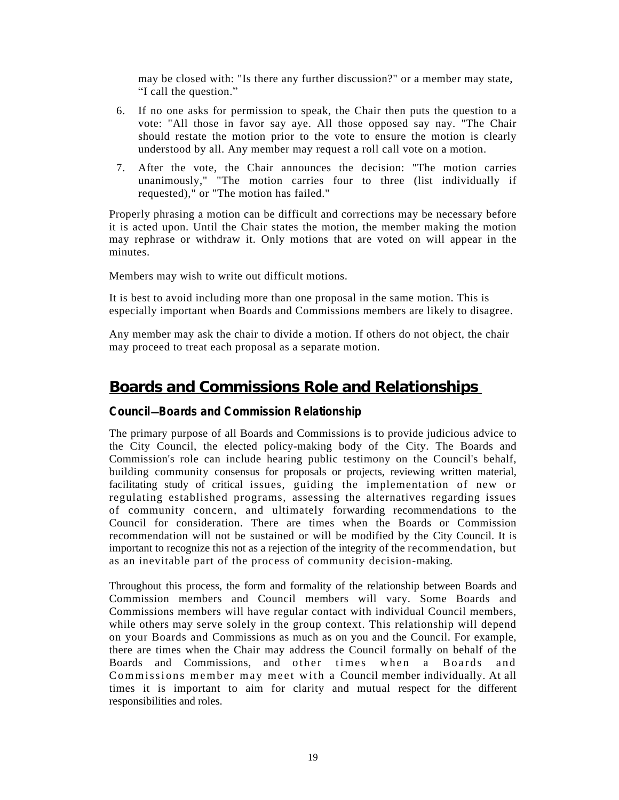may be closed with: "Is there any further discussion?" or a member may state, "I call the question."

- 6. If no one asks for permission to speak, the Chair then puts the question to a vote: "All those in favor say aye. All those opposed say nay. "The Chair should restate the motion prior to the vote to ensure the motion is clearly understood by all. Any member may request a roll call vote on a motion.
- 7. After the vote, the Chair announces the decision: "The motion carries unanimously," "The motion carries four to three (list individually if requested)," or "The motion has failed."

Properly phrasing a motion can be difficult and corrections may be necessary before it is acted upon. Until the Chair states the motion, the member making the motion may rephrase or withdraw it. Only motions that are voted on will appear in the minutes.

Members may wish to write out difficult motions.

It is best to avoid including more than one proposal in the same motion. This is especially important when Boards and Commissions members are likely to disagree.

Any member may ask the chair to divide a motion. If others do not object, the chair may proceed to treat each proposal as a separate motion.

## **Boards and Commissions Role and Relationships**

#### **Council**—**Boards and Commission Relationship**

The primary purpose of all Boards and Commissions is to provide judicious advice to the City Council, the elected policy-making body of the City. The Boards and Commission's role can include hearing public testimony on the Council's behalf, building community consensus for proposals or projects, reviewing written material, facilitating study of critical issues, guiding the implementation of new or regulating established programs, assessing the alternatives regarding issues of community concern, and ultimately forwarding recommendations to the Council for consideration. There are times when the Boards or Commission recommendation will not be sustained or will be modified by the City Council. It is important to recognize this not as a rejection of the integrity of the recommendation, but as an inevitable part of the process of community decision-making.

Throughout this process, the form and formality of the relationship between Boards and Commission members and Council members will vary. Some Boards and Commissions members will have regular contact with individual Council members, while others may serve solely in the group context. This relationship will depend on your Boards and Commissions as much as on you and the Council. For example, there are times when the Chair may address the Council formally on behalf of the Boards and Commissions, and other times when a Boards and Commissions member may meet with a Council member individually. At all times it is important to aim for clarity and mutual respect for the different responsibilities and roles.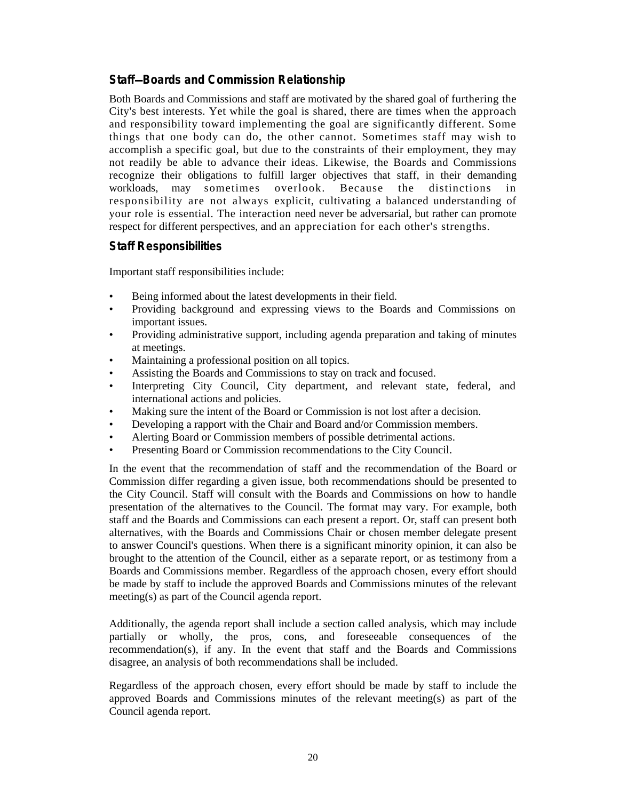#### **Staff**—**Boards and Commission Relationship**

Both Boards and Commissions and staff are motivated by the shared goal of furthering the City's best interests. Yet while the goal is shared, there are times when the approach and responsibility toward implementing the goal are significantly different. Some things that one body can do, the other cannot. Sometimes staff may wish to accomplish a specific goal, but due to the constraints of their employment, they may not readily be able to advance their ideas. Likewise, the Boards and Commissions recognize their obligations to fulfill larger objectives that staff, in their demanding workloads, may sometimes overlook. Because the distinctions in responsibility are not always explicit, cultivating a balanced understanding of your role is essential. The interaction need never be adversarial, but rather can promote respect for different perspectives, and an appreciation for each other's strengths.

#### **Staff Responsibilities**

Important staff responsibilities include:

- Being informed about the latest developments in their field.
- Providing background and expressing views to the Boards and Commissions on important issues.
- Providing administrative support, including agenda preparation and taking of minutes at meetings.
- Maintaining a professional position on all topics.
- Assisting the Boards and Commissions to stay on track and focused.
- Interpreting City Council, City department, and relevant state, federal, and international actions and policies.
- Making sure the intent of the Board or Commission is not lost after a decision.
- Developing a rapport with the Chair and Board and/or Commission members.
- Alerting Board or Commission members of possible detrimental actions.
- Presenting Board or Commission recommendations to the City Council.

In the event that the recommendation of staff and the recommendation of the Board or Commission differ regarding a given issue, both recommendations should be presented to the City Council. Staff will consult with the Boards and Commissions on how to handle presentation of the alternatives to the Council. The format may vary. For example, both staff and the Boards and Commissions can each present a report. Or, staff can present both alternatives, with the Boards and Commissions Chair or chosen member delegate present to answer Council's questions. When there is a significant minority opinion, it can also be brought to the attention of the Council, either as a separate report, or as testimony from a Boards and Commissions member. Regardless of the approach chosen, every effort should be made by staff to include the approved Boards and Commissions minutes of the relevant meeting(s) as part of the Council agenda report.

Additionally, the agenda report shall include a section called analysis, which may include partially or wholly, the pros, cons, and foreseeable consequences of the recommendation $(s)$ , if any. In the event that staff and the Boards and Commissions disagree, an analysis of both recommendations shall be included.

Regardless of the approach chosen, every effort should be made by staff to include the approved Boards and Commissions minutes of the relevant meeting(s) as part of the Council agenda report.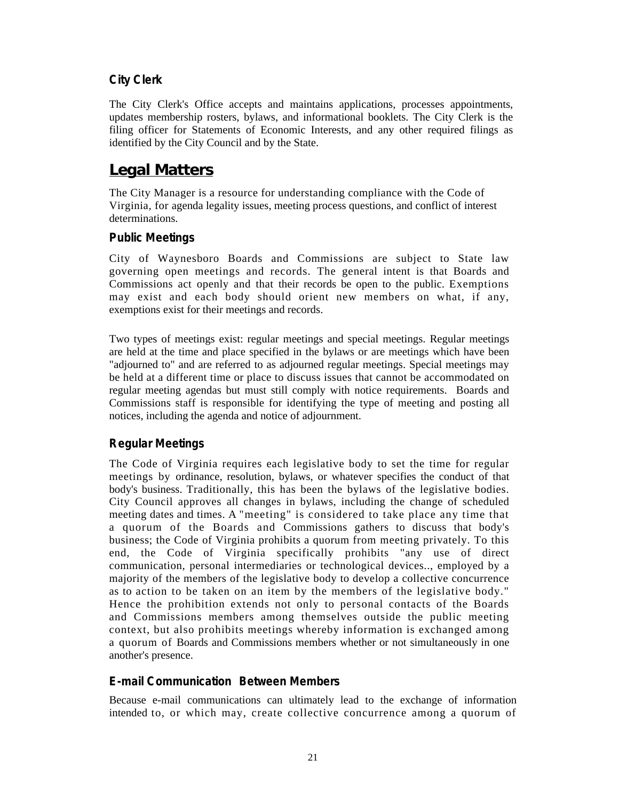#### **City Clerk**

The City Clerk's Office accepts and maintains applications, processes appointments, updates membership rosters, bylaws, and informational booklets. The City Clerk is the filing officer for Statements of Economic Interests, and any other required filings as identified by the City Council and by the State.

## **Legal Matters**

The City Manager is a resource for understanding compliance with the Code of Virginia, for agenda legality issues, meeting process questions, and conflict of interest determinations.

#### **Public Meetings**

City of Waynesboro Boards and Commissions are subject to State law governing open meetings and records. The general intent is that Boards and Commissions act openly and that their records be open to the public. Exemptions may exist and each body should orient new members on what, if any, exemptions exist for their meetings and records.

Two types of meetings exist: regular meetings and special meetings. Regular meetings are held at the time and place specified in the bylaws or are meetings which have been "adjourned to" and are referred to as adjourned regular meetings. Special meetings may be held at a different time or place to discuss issues that cannot be accommodated on regular meeting agendas but must still comply with notice requirements. Boards and Commissions staff is responsible for identifying the type of meeting and posting all notices, including the agenda and notice of adjournment.

#### **Regular Meetings**

The Code of Virginia requires each legislative body to set the time for regular meetings by ordinance, resolution, bylaws, or whatever specifies the conduct of that body's business. Traditionally, this has been the bylaws of the legislative bodies. City Council approves all changes in bylaws, including the change of scheduled meeting dates and times. A "meeting" is considered to take place any time that a quorum of the Boards and Commissions gathers to discuss that body's business; the Code of Virginia prohibits a quorum from meeting privately. To this end, the Code of Virginia specifically prohibits "any use of direct communication, personal intermediaries or technological devices.., employed by a majority of the members of the legislative body to develop a collective concurrence as to action to be taken on an item by the members of the legislative body." Hence the prohibition extends not only to personal contacts of the Boards and Commissions members among themselves outside the public meeting context, but also prohibits meetings whereby information is exchanged among a quorum of Boards and Commissions members whether or not simultaneously in one another's presence.

#### **E-mail Communication Between Members**

Because e-mail communications can ultimately lead to the exchange of information intended to, or which may, create collective concurrence among a quorum of